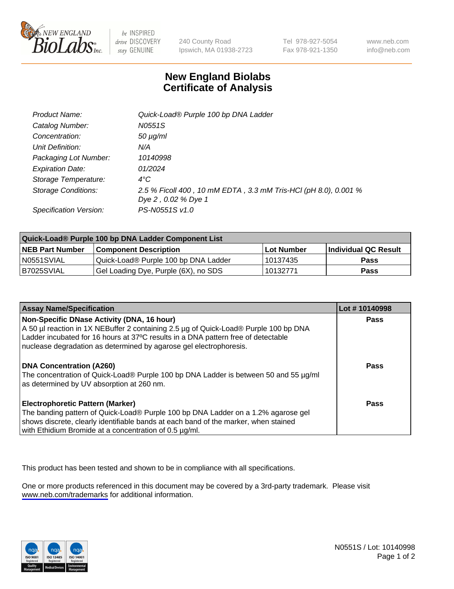

be INSPIRED drive DISCOVERY stay GENUINE

240 County Road Ipswich, MA 01938-2723 Tel 978-927-5054 Fax 978-921-1350

www.neb.com info@neb.com

## **New England Biolabs Certificate of Analysis**

| Product Name:           | Quick-Load® Purple 100 bp DNA Ladder                            |
|-------------------------|-----------------------------------------------------------------|
| Catalog Number:         | N0551S                                                          |
| Concentration:          | $50 \mu g/ml$                                                   |
| Unit Definition:        | N/A                                                             |
| Packaging Lot Number:   | 10140998                                                        |
| <b>Expiration Date:</b> | 01/2024                                                         |
| Storage Temperature:    | $4^{\circ}$ C                                                   |
| Storage Conditions:     | 2.5 % Ficoll 400, 10 mM EDTA, 3.3 mM Tris-HCl (pH 8.0), 0.001 % |
|                         | Dye 2, 0.02 % Dye 1                                             |
| Specification Version:  | PS-N0551S v1.0                                                  |

| Quick-Load® Purple 100 bp DNA Ladder Component List |                                      |              |                             |  |
|-----------------------------------------------------|--------------------------------------|--------------|-----------------------------|--|
| <b>NEB Part Number</b>                              | <b>Component Description</b>         | l Lot Number | <b>Individual QC Result</b> |  |
| IN0551SVIAL                                         | Quick-Load® Purple 100 bp DNA Ladder | 10137435     | <b>Pass</b>                 |  |
| I B7025SVIAL                                        | Gel Loading Dye, Purple (6X), no SDS | 10132771     | Pass                        |  |

| <b>Assay Name/Specification</b>                                                                                                                                                                                                                                                               | Lot #10140998 |
|-----------------------------------------------------------------------------------------------------------------------------------------------------------------------------------------------------------------------------------------------------------------------------------------------|---------------|
| Non-Specific DNase Activity (DNA, 16 hour)<br>A 50 µl reaction in 1X NEBuffer 2 containing 2.5 µg of Quick-Load® Purple 100 bp DNA<br>Ladder incubated for 16 hours at 37°C results in a DNA pattern free of detectable<br>nuclease degradation as determined by agarose gel electrophoresis. | Pass          |
| <b>DNA Concentration (A260)</b><br>The concentration of Quick-Load® Purple 100 bp DNA Ladder is between 50 and 55 µg/ml<br>as determined by UV absorption at 260 nm.                                                                                                                          | <b>Pass</b>   |
| <b>Electrophoretic Pattern (Marker)</b><br>The banding pattern of Quick-Load® Purple 100 bp DNA Ladder on a 1.2% agarose gel<br>shows discrete, clearly identifiable bands at each band of the marker, when stained<br>with Ethidium Bromide at a concentration of 0.5 µg/ml.                 | Pass          |

This product has been tested and shown to be in compliance with all specifications.

One or more products referenced in this document may be covered by a 3rd-party trademark. Please visit <www.neb.com/trademarks>for additional information.